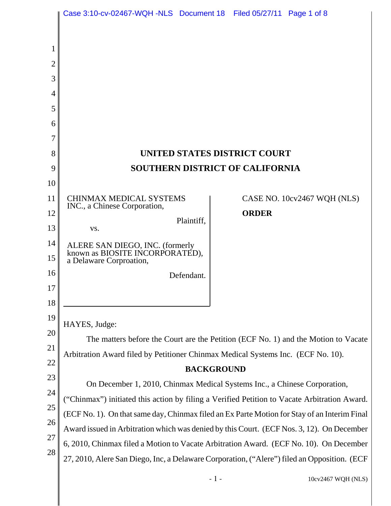|          | Case 3:10-cv-02467-WQH-NLS Document 18 Filed 05/27/11 Page 1 of 8                            |                                                                                             |  |  |
|----------|----------------------------------------------------------------------------------------------|---------------------------------------------------------------------------------------------|--|--|
|          |                                                                                              |                                                                                             |  |  |
|          |                                                                                              |                                                                                             |  |  |
| 2        |                                                                                              |                                                                                             |  |  |
| 3        |                                                                                              |                                                                                             |  |  |
| 4        |                                                                                              |                                                                                             |  |  |
| 5        |                                                                                              |                                                                                             |  |  |
| 6        |                                                                                              |                                                                                             |  |  |
| 7        |                                                                                              |                                                                                             |  |  |
| 8        |                                                                                              | UNITED STATES DISTRICT COURT                                                                |  |  |
| 9        |                                                                                              | <b>SOUTHERN DISTRICT OF CALIFORNIA</b>                                                      |  |  |
| 10       |                                                                                              |                                                                                             |  |  |
| 11       | <b>CHINMAX MEDICAL SYSTEMS</b><br>INC., a Chinese Corporation,                               | CASE NO. 10cv2467 WQH (NLS)                                                                 |  |  |
| 12       | Plaintiff,                                                                                   | <b>ORDER</b>                                                                                |  |  |
| 13       | VS.                                                                                          |                                                                                             |  |  |
| 14       | ALERE SAN DIEGO, INC. (formerly known as BIOSITE INCORPORATED),                              |                                                                                             |  |  |
| 15       | a Delaware Corproation,                                                                      |                                                                                             |  |  |
| 16       | Defendant.                                                                                   |                                                                                             |  |  |
| 17       |                                                                                              |                                                                                             |  |  |
| 18       |                                                                                              |                                                                                             |  |  |
| 19       | HAYES, Judge:                                                                                |                                                                                             |  |  |
| 20       | The matters before the Court are the Petition (ECF No. 1) and the Motion to Vacate           |                                                                                             |  |  |
| 21       | Arbitration Award filed by Petitioner Chinmax Medical Systems Inc. (ECF No. 10).             |                                                                                             |  |  |
| 22<br>23 | <b>BACKGROUND</b>                                                                            |                                                                                             |  |  |
| 24       | On December 1, 2010, Chinmax Medical Systems Inc., a Chinese Corporation,                    |                                                                                             |  |  |
| 25       | ("Chinmax") initiated this action by filing a Verified Petition to Vacate Arbitration Award. |                                                                                             |  |  |
| 26       | (ECF No. 1). On that same day, Chinmax filed an Ex Parte Motion for Stay of an Interim Final |                                                                                             |  |  |
| 27       | Award issued in Arbitration which was denied by this Court. (ECF Nos. 3, 12). On December    |                                                                                             |  |  |
| 28       |                                                                                              | 6, 2010, Chinmax filed a Motion to Vacate Arbitration Award. (ECF No. 10). On December      |  |  |
|          |                                                                                              | 27, 2010, Alere San Diego, Inc, a Delaware Corporation, ("Alere") filed an Opposition. (ECF |  |  |
|          |                                                                                              |                                                                                             |  |  |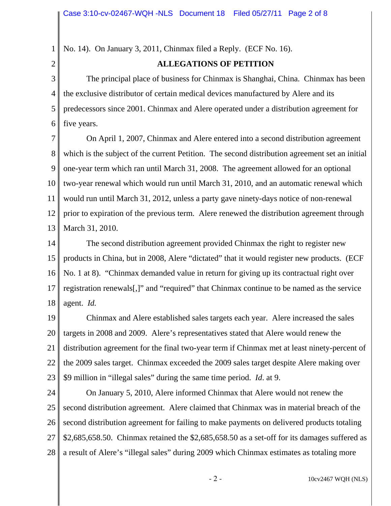1 No. 14). On January 3, 2011, Chinmax filed a Reply. (ECF No. 16).

## 2

## **ALLEGATIONS OF PETITION**

3 4 5 6 The principal place of business for Chinmax is Shanghai, China. Chinmax has been the exclusive distributor of certain medical devices manufactured by Alere and its predecessors since 2001. Chinmax and Alere operated under a distribution agreement for five years.

7 8 9 10 11 12 13 On April 1, 2007, Chinmax and Alere entered into a second distribution agreement which is the subject of the current Petition. The second distribution agreement set an initial one-year term which ran until March 31, 2008. The agreement allowed for an optional two-year renewal which would run until March 31, 2010, and an automatic renewal which would run until March 31, 2012, unless a party gave ninety-days notice of non-renewal prior to expiration of the previous term. Alere renewed the distribution agreement through March 31, 2010.

14 15 16 17 18 The second distribution agreement provided Chinmax the right to register new products in China, but in 2008, Alere "dictated" that it would register new products. (ECF No. 1 at 8). "Chinmax demanded value in return for giving up its contractual right over registration renewals[,]" and "required" that Chinmax continue to be named as the service agent. *Id.*

19 20 21 22 23 Chinmax and Alere established sales targets each year. Alere increased the sales targets in 2008 and 2009. Alere's representatives stated that Alere would renew the distribution agreement for the final two-year term if Chinmax met at least ninety-percent of the 2009 sales target. Chinmax exceeded the 2009 sales target despite Alere making over \$9 million in "illegal sales" during the same time period. *Id*. at 9.

24 25 26 27 28 On January 5, 2010, Alere informed Chinmax that Alere would not renew the second distribution agreement. Alere claimed that Chinmax was in material breach of the second distribution agreement for failing to make payments on delivered products totaling \$2,685,658.50. Chinmax retained the \$2,685,658.50 as a set-off for its damages suffered as a result of Alere's "illegal sales" during 2009 which Chinmax estimates as totaling more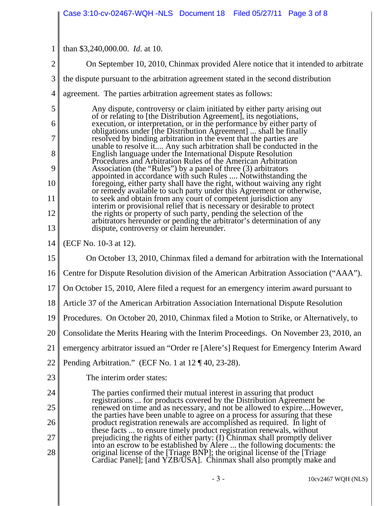|                | Case 3:10-cv-02467-WQH-NLS Document 18 Filed 05/27/11 Page 3 of 8                                                                                                                                  |
|----------------|----------------------------------------------------------------------------------------------------------------------------------------------------------------------------------------------------|
|                |                                                                                                                                                                                                    |
| 1              | than \$3,240,000.00. <i>Id.</i> at 10.                                                                                                                                                             |
| $\overline{2}$ | On September 10, 2010, Chinmax provided Alere notice that it intended to arbitrate                                                                                                                 |
| 3              | the dispute pursuant to the arbitration agreement stated in the second distribution                                                                                                                |
| 4              | agreement. The parties arbitration agreement states as follows:                                                                                                                                    |
| 5              | Any dispute, controversy or claim initiated by either party arising out                                                                                                                            |
| 6              | of or relating to [the Distribution Agreement], its negotiations,<br>execution, or interpretation, or in the performance by either party of                                                        |
| 7              | obligations under [the Distribution Agreement]  shall be finally<br>resolved by binding arbitration in the event that the parties are                                                              |
| 8              | unable to resolve it Any such arbitration shall be conducted in the<br>English language under the International Dispute Resolution<br>Procedures and Arbitration Rules of the American Arbitration |
| 9              | Association (the "Rules") by a panel of three (3) arbitrators<br>appointed in accordance with such Rules  Notwithstanding the                                                                      |
| 10             | foregoing, either party shall have the right, without waiving any right<br>or remedy available to such party under this Agreement or otherwise,                                                    |
| 11             | to seek and obtain from any court of competent jurisdiction any<br>interim or provisional relief that is necessary or desirable to protect                                                         |
| 12             | the rights or property of such party, pending the selection of the<br>arbitrators hereunder or pending the arbitrator's determination of any<br>dispute, controversy or claim hereunder.           |
| 13             |                                                                                                                                                                                                    |
| 14             | (ECF No. 10-3 at 12).                                                                                                                                                                              |
| 15             | On October 13, 2010, Chinmax filed a demand for arbitration with the International                                                                                                                 |
| 16             | Centre for Dispute Resolution division of the American Arbitration Association ("AAA").                                                                                                            |
| 17             | On October 15, 2010, Alere filed a request for an emergency interim award pursuant to                                                                                                              |
| 18             | Article 37 of the American Arbitration Association International Dispute Resolution                                                                                                                |
| 19             | Procedures. On October 20, 2010, Chinmax filed a Motion to Strike, or Alternatively, to                                                                                                            |
| 20             | Consolidate the Merits Hearing with the Interim Proceedings. On November 23, 2010, an                                                                                                              |
| 21             | emergency arbitrator issued an "Order re [Alere's] Request for Emergency Interim Award                                                                                                             |
| 22             | Pending Arbitration." (ECF No. 1 at 12 ¶ 40, 23-28).                                                                                                                                               |
| 23             | The interim order states:                                                                                                                                                                          |
| 24             | The parties confirmed their mutual interest in assuring that product<br>registrations  for products covered by the Distribution Agreement be                                                       |
| 25             | renewed on time and as necessary, and not be allowed to expireHowever,<br>the parties have been unable to agree on a process for assuring that these                                               |
| 26             | product registration renewals are accomplished as required. In light of<br>these facts  to ensure timely product registration renewals, without                                                    |
| 27             | prejudicing the rights of either party: (I) Chinmax shall promptly deliver<br>into an escrow to be established by Alere  the following documents: the                                              |
| 28             | original license of the [Triage BNP]; the original license of the [Triage]<br>Cardiac Panel]; [and YZB/USA]. Chinmax shall also promptly make and                                                  |
|                |                                                                                                                                                                                                    |

- 3 - 10cv2467 WQH (NLS)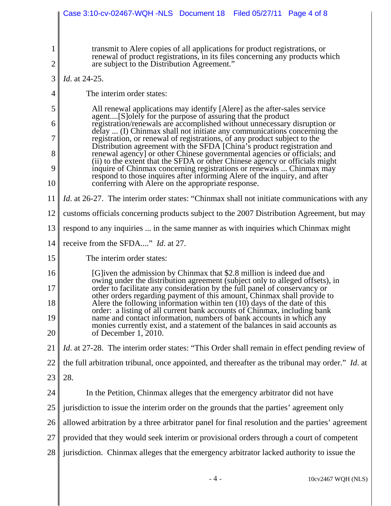|                               | Case 3:10-cv-02467-WQH -NLS  Document 18  Filed 05/27/11  Page 4 of 8                                                                                                                                                             |
|-------------------------------|-----------------------------------------------------------------------------------------------------------------------------------------------------------------------------------------------------------------------------------|
|                               |                                                                                                                                                                                                                                   |
| $\mathbf 1$<br>$\overline{2}$ | transmit to Alere copies of all applications for product registrations, or<br>renewal of product registrations, in its files concerning any products which<br>are subject to the Distribution Agreement."                         |
| 3                             | Id. at 24-25.                                                                                                                                                                                                                     |
| 4                             | The interim order states:                                                                                                                                                                                                         |
| 5                             | All renewal applications may identify [Alere] as the after-sales service                                                                                                                                                          |
| 6                             | agent[S] olely for the purpose of assuring that the product<br>registration/renewals are accomplished without unnecessary disruption or                                                                                           |
| 7                             | delay  (I) Chinmax shall not initiate any communications concerning the<br>registration, or renewal of registrations, of any product subject to the                                                                               |
| 8                             | Distribution agreement with the SFDA [China's product registration and<br>renewal agency] or other Chinese governmental agencies or officials; and<br>(ii) to the extent that the SFDA or other Chinese agency or officials might |
| 9                             | inquire of Chinmax concerning registrations or renewals  Chinmax may<br>respond to those inquires after informing Alere of the inquiry, and after                                                                                 |
| 10                            | conferring with Alere on the appropriate response.                                                                                                                                                                                |
| 11                            | <i>Id.</i> at 26-27. The interim order states: "Chinmax shall not initiate communications with any                                                                                                                                |
| 12                            | customs officials concerning products subject to the 2007 Distribution Agreement, but may                                                                                                                                         |
| 13                            | respond to any inquiries  in the same manner as with inquiries which Chinmax might                                                                                                                                                |
| 14                            | receive from the SFDA" <i>Id.</i> at 27.                                                                                                                                                                                          |
| 15                            | The interim order states:                                                                                                                                                                                                         |
| 16                            | [G]iven the admission by Chinmax that \$2.8 million is indeed due and<br>owing under the distribution agreement (subject only to alleged offsets), in                                                                             |
| 17                            | order to facilitate any consideration by the full panel of conservancy or<br>other orders regarding payment of this amount, Chinmax shall provide to                                                                              |
| 18                            | Alere the following information within ten (10) days of the date of this<br>order: a listing of all current bank accounts of Chinmax, including bank                                                                              |
| 19                            | name and contact information, numbers of bank accounts in which any<br>monies currently exist, and a statement of the balances in said accounts as                                                                                |
| 20                            | of December $1, 2010$ .                                                                                                                                                                                                           |
| 21                            | <i>Id.</i> at 27-28. The interim order states: "This Order shall remain in effect pending review of                                                                                                                               |
| 22                            | the full arbitration tribunal, once appointed, and thereafter as the tribunal may order." Id. at                                                                                                                                  |
| 23                            | 28.                                                                                                                                                                                                                               |
| 24                            | In the Petition, Chinmax alleges that the emergency arbitrator did not have                                                                                                                                                       |
| 25                            | jurisdiction to issue the interim order on the grounds that the parties' agreement only                                                                                                                                           |
| 26                            | allowed arbitration by a three arbitrator panel for final resolution and the parties' agreement                                                                                                                                   |
| 27                            | provided that they would seek interim or provisional orders through a court of competent                                                                                                                                          |
| 28                            | jurisdiction. Chinmax alleges that the emergency arbitrator lacked authority to issue the                                                                                                                                         |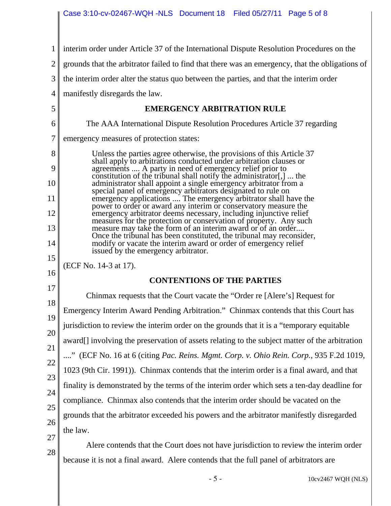| 1                                          | interim order under Article 37 of the International Dispute Resolution Procedures on the                                                                                                                                                                                                                                                                                                                                                                                                                                                                                                                                                                                                                                                                                                                                                                                                                                                             |
|--------------------------------------------|------------------------------------------------------------------------------------------------------------------------------------------------------------------------------------------------------------------------------------------------------------------------------------------------------------------------------------------------------------------------------------------------------------------------------------------------------------------------------------------------------------------------------------------------------------------------------------------------------------------------------------------------------------------------------------------------------------------------------------------------------------------------------------------------------------------------------------------------------------------------------------------------------------------------------------------------------|
| $\overline{2}$                             | grounds that the arbitrator failed to find that there was an emergency, that the obligations of                                                                                                                                                                                                                                                                                                                                                                                                                                                                                                                                                                                                                                                                                                                                                                                                                                                      |
| 3                                          | the interim order alter the status quo between the parties, and that the interim order                                                                                                                                                                                                                                                                                                                                                                                                                                                                                                                                                                                                                                                                                                                                                                                                                                                               |
| 4                                          | manifestly disregards the law.                                                                                                                                                                                                                                                                                                                                                                                                                                                                                                                                                                                                                                                                                                                                                                                                                                                                                                                       |
| 5                                          | <b>EMERGENCY ARBITRATION RULE</b>                                                                                                                                                                                                                                                                                                                                                                                                                                                                                                                                                                                                                                                                                                                                                                                                                                                                                                                    |
| 6                                          | The AAA International Dispute Resolution Procedures Article 37 regarding                                                                                                                                                                                                                                                                                                                                                                                                                                                                                                                                                                                                                                                                                                                                                                                                                                                                             |
| 7                                          | emergency measures of protection states:                                                                                                                                                                                                                                                                                                                                                                                                                                                                                                                                                                                                                                                                                                                                                                                                                                                                                                             |
| 8<br>9<br>10<br>11<br>12<br>13<br>14<br>15 | Unless the parties agree otherwise, the provisions of this Article 37<br>shall apply to arbitrations conducted under arbitration clauses or<br>agreements  A party in need of emergency relief prior to<br>constitution of the tribunal shall notify the administrator[,]  the<br>administrator shall appoint a single emergency arbitrator from a<br>special panel of emergency arbitrators designated to rule on<br>emergency applications  The emergency arbitrator shall have the<br>power to order or award any interim or conservatory measure the<br>emergency arbitrator deems necessary, including injunctive relief<br>measures for the protection or conservation of property. Any such<br>measure may take the form of an interim award or of an order<br>Once the tribunal has been constituted, the tribunal may reconsider,<br>modify or vacate the interim award or order of emergency relief<br>issued by the emergency arbitrator. |
| 16                                         | (ECF No. 14-3 at 17).                                                                                                                                                                                                                                                                                                                                                                                                                                                                                                                                                                                                                                                                                                                                                                                                                                                                                                                                |
| 17                                         | <b>CONTENTIONS OF THE PARTIES</b>                                                                                                                                                                                                                                                                                                                                                                                                                                                                                                                                                                                                                                                                                                                                                                                                                                                                                                                    |
| 18                                         | Chinmax requests that the Court vacate the "Order re [Alere's] Request for                                                                                                                                                                                                                                                                                                                                                                                                                                                                                                                                                                                                                                                                                                                                                                                                                                                                           |
| 19                                         | Emergency Interim Award Pending Arbitration." Chinmax contends that this Court has                                                                                                                                                                                                                                                                                                                                                                                                                                                                                                                                                                                                                                                                                                                                                                                                                                                                   |
| 20                                         | jurisdiction to review the interim order on the grounds that it is a "temporary equitable                                                                                                                                                                                                                                                                                                                                                                                                                                                                                                                                                                                                                                                                                                                                                                                                                                                            |
| 21                                         | award[] involving the preservation of assets relating to the subject matter of the arbitration                                                                                                                                                                                                                                                                                                                                                                                                                                                                                                                                                                                                                                                                                                                                                                                                                                                       |
| 22                                         | " (ECF No. 16 at 6 (citing Pac. Reins. Mgmt. Corp. v. Ohio Rein. Corp., 935 F.2d 1019,                                                                                                                                                                                                                                                                                                                                                                                                                                                                                                                                                                                                                                                                                                                                                                                                                                                               |
| 23                                         | 1023 (9th Cir. 1991)). Chinmax contends that the interim order is a final award, and that                                                                                                                                                                                                                                                                                                                                                                                                                                                                                                                                                                                                                                                                                                                                                                                                                                                            |
| 24                                         | finality is demonstrated by the terms of the interim order which sets a ten-day deadline for                                                                                                                                                                                                                                                                                                                                                                                                                                                                                                                                                                                                                                                                                                                                                                                                                                                         |
| 25                                         | compliance. Chinmax also contends that the interim order should be vacated on the                                                                                                                                                                                                                                                                                                                                                                                                                                                                                                                                                                                                                                                                                                                                                                                                                                                                    |
| 26                                         | grounds that the arbitrator exceeded his powers and the arbitrator manifestly disregarded                                                                                                                                                                                                                                                                                                                                                                                                                                                                                                                                                                                                                                                                                                                                                                                                                                                            |
| 27                                         | the law.                                                                                                                                                                                                                                                                                                                                                                                                                                                                                                                                                                                                                                                                                                                                                                                                                                                                                                                                             |
| 28                                         | Alere contends that the Court does not have jurisdiction to review the interim order                                                                                                                                                                                                                                                                                                                                                                                                                                                                                                                                                                                                                                                                                                                                                                                                                                                                 |
|                                            | because it is not a final award. Alere contends that the full panel of arbitrators are                                                                                                                                                                                                                                                                                                                                                                                                                                                                                                                                                                                                                                                                                                                                                                                                                                                               |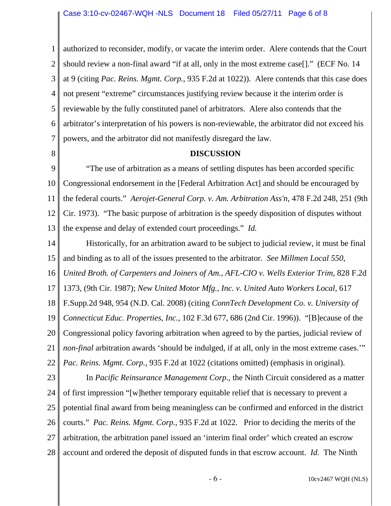1 2 3 4 5 6 7 authorized to reconsider, modify, or vacate the interim order. Alere contends that the Court should review a non-final award "if at all, only in the most extreme case[]." (ECF No. 14 at 9 (citing *Pac. Reins. Mgmt. Corp.*, 935 F.2d at 1022)). Alere contends that this case does not present "extreme" circumstances justifying review because it the interim order is reviewable by the fully constituted panel of arbitrators. Alere also contends that the arbitrator's interpretation of his powers is non-reviewable, the arbitrator did not exceed his powers, and the arbitrator did not manifestly disregard the law.

8

## **DISCUSSION**

9 10 11 12 13 "The use of arbitration as a means of settling disputes has been accorded specific Congressional endorsement in the [Federal Arbitration Act] and should be encouraged by the federal courts." *Aerojet-General Corp. v. Am. Arbitration Ass'n*, 478 F.2d 248, 251 (9th Cir. 1973). "The basic purpose of arbitration is the speedy disposition of disputes without the expense and delay of extended court proceedings." *Id.*

14 15 16 17 18 19 20 21 22 Historically, for an arbitration award to be subject to judicial review, it must be final and binding as to all of the issues presented to the arbitrator. *See Millmen Local 550, United Broth. of Carpenters and Joiners of Am., AFL-CIO v. Wells Exterior Trim*, 828 F.2d 1373, (9th Cir. 1987); *New United Motor Mfg., Inc. v. United Auto Workers Local,* 617 F.Supp.2d 948, 954 (N.D. Cal. 2008) (citing *ConnTech Development Co. v. University of Connecticut Educ. Properties, Inc.*, 102 F.3d 677, 686 (2nd Cir. 1996)). "[B]ecause of the Congressional policy favoring arbitration when agreed to by the parties, judicial review of *non-final* arbitration awards 'should be indulged, if at all, only in the most extreme cases.'" *Pac. Reins. Mgmt. Corp.*, 935 F.2d at 1022 (citations omitted) (emphasis in original).

23 24 25 26 27 28 In *Pacific Reinsurance Management Corp*., the Ninth Circuit considered as a matter of first impression "[w]hether temporary equitable relief that is necessary to prevent a potential final award from being meaningless can be confirmed and enforced in the district courts." *Pac. Reins. Mgmt. Corp.*, 935 F.2d at 1022. Prior to deciding the merits of the arbitration, the arbitration panel issued an 'interim final order' which created an escrow account and ordered the deposit of disputed funds in that escrow account. *Id*. The Ninth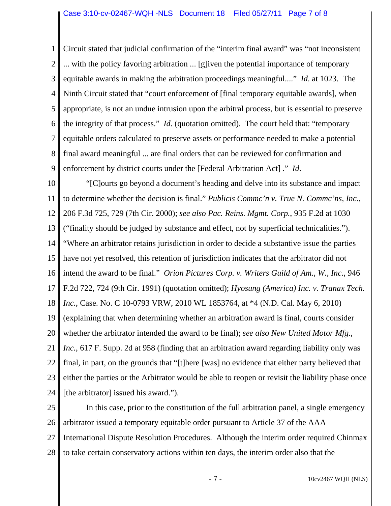1 2 3 4 5 6 7 8 9 Circuit stated that judicial confirmation of the "interim final award" was "not inconsistent ... with the policy favoring arbitration ... [g]iven the potential importance of temporary equitable awards in making the arbitration proceedings meaningful...." *Id*. at 1023. The Ninth Circuit stated that "court enforcement of [final temporary equitable awards], when appropriate, is not an undue intrusion upon the arbitral process, but is essential to preserve the integrity of that process." *Id*. (quotation omitted). The court held that: "temporary equitable orders calculated to preserve assets or performance needed to make a potential final award meaningful ... are final orders that can be reviewed for confirmation and enforcement by district courts under the [Federal Arbitration Act] ." *Id*.

10 11 12 13 14 15 16 17 18 19 20 21 22 23 24 "[C]ourts go beyond a document's heading and delve into its substance and impact to determine whether the decision is final." *Publicis Commc'n v. True N. Commc'ns, Inc*., 206 F.3d 725, 729 (7th Cir. 2000); *see also Pac. Reins. Mgmt. Corp.*, 935 F.2d at 1030 ("finality should be judged by substance and effect, not by superficial technicalities."). "Where an arbitrator retains jurisdiction in order to decide a substantive issue the parties have not yet resolved, this retention of jurisdiction indicates that the arbitrator did not intend the award to be final." *Orion Pictures Corp. v. Writers Guild of Am., W., Inc*., 946 F.2d 722, 724 (9th Cir. 1991) (quotation omitted); *Hyosung (America) Inc. v. Tranax Tech. Inc.*, Case. No. C 10-0793 VRW, 2010 WL 1853764, at \*4 (N.D. Cal. May 6, 2010) (explaining that when determining whether an arbitration award is final, courts consider whether the arbitrator intended the award to be final); *see also New United Motor Mfg., Inc.*, 617 F. Supp. 2d at 958 (finding that an arbitration award regarding liability only was final, in part, on the grounds that "[t]here [was] no evidence that either party believed that either the parties or the Arbitrator would be able to reopen or revisit the liability phase once [the arbitrator] issued his award.").

25 26 27 28 In this case, prior to the constitution of the full arbitration panel, a single emergency arbitrator issued a temporary equitable order pursuant to Article 37 of the AAA International Dispute Resolution Procedures. Although the interim order required Chinmax to take certain conservatory actions within ten days, the interim order also that the